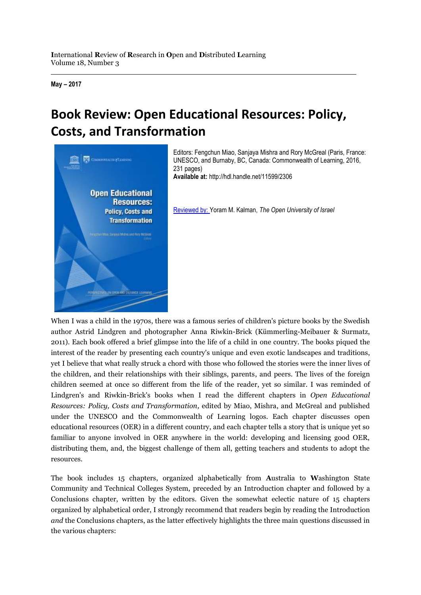**May – 2017**

## **Book Review: Open Educational Resources: Policy, Costs, and Transformation**



Editors: Fengchun Miao, Sanjaya Mishra and Rory McGreal (Paris, France: UNESCO, and Burnaby, BC, Canada: Commonwealth of Learning, 2016, 231 pages) **Available at:** http://hdl.handle.net/11599/2306

Reviewed by: Yoram M. Kalman, *The Open University of Israel*

When I was a child in the 1970s, there was a famous series of children's picture books by the Swedish author Astrid Lindgren and photographer Anna Riwkin-Brick (Kümmerling-Meibauer & Surmatz, 2011). Each book offered a brief glimpse into the life of a child in one country. The books piqued the interest of the reader by presenting each country's unique and even exotic landscapes and traditions, yet I believe that what really struck a chord with those who followed the stories were the inner lives of the children, and their relationships with their siblings, parents, and peers. The lives of the foreign children seemed at once so different from the life of the reader, yet so similar. I was reminded of Lindgren's and Riwkin-Brick's books when I read the different chapters in *Open Educational Resources: Policy, Costs and Transformation,* edited by Miao, Mishra, and McGreal and published under the UNESCO and the Commonwealth of Learning logos. Each chapter discusses open educational resources (OER) in a different country, and each chapter tells a story that is unique yet so familiar to anyone involved in OER anywhere in the world: developing and licensing good OER, distributing them, and, the biggest challenge of them all, getting teachers and students to adopt the resources.

The book includes 15 chapters, organized alphabetically from **A**ustralia to **W**ashington State Community and Technical Colleges System, preceded by an Introduction chapter and followed by a Conclusions chapter, written by the editors. Given the somewhat eclectic nature of 15 chapters organized by alphabetical order, I strongly recommend that readers begin by reading the Introduction *and* the Conclusions chapters, as the latter effectively highlights the three main questions discussed in the various chapters: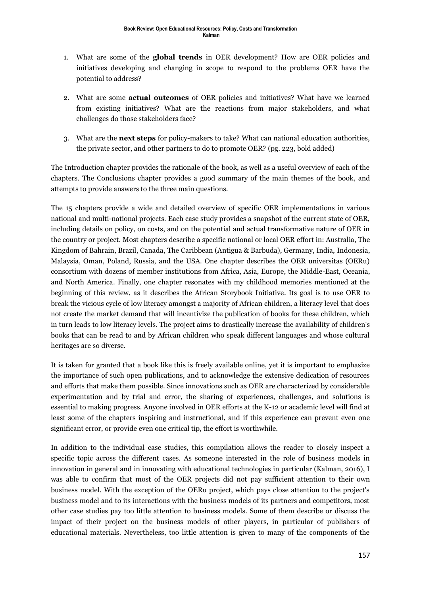- 1. What are some of the **global trends** in OER development? How are OER policies and initiatives developing and changing in scope to respond to the problems OER have the potential to address?
- 2. What are some **actual outcomes** of OER policies and initiatives? What have we learned from existing initiatives? What are the reactions from major stakeholders, and what challenges do those stakeholders face?
- 3. What are the **next steps** for policy-makers to take? What can national education authorities, the private sector, and other partners to do to promote OER? (pg. 223, bold added)

The Introduction chapter provides the rationale of the book, as well as a useful overview of each of the chapters. The Conclusions chapter provides a good summary of the main themes of the book, and attempts to provide answers to the three main questions.

The 15 chapters provide a wide and detailed overview of specific OER implementations in various national and multi-national projects. Each case study provides a snapshot of the current state of OER, including details on policy, on costs, and on the potential and actual transformative nature of OER in the country or project. Most chapters describe a specific national or local OER effort in: Australia, The Kingdom of Bahrain, Brazil, Canada, The Caribbean (Antigua & Barbuda), Germany, India, Indonesia, Malaysia, Oman, Poland, Russia, and the USA. One chapter describes the OER universitas (OERu) consortium with dozens of member institutions from Africa, Asia, Europe, the Middle-East, Oceania, and North America. Finally, one chapter resonates with my childhood memories mentioned at the beginning of this review, as it describes the African Storybook Initiative. Its goal is to use OER to break the vicious cycle of low literacy amongst a majority of African children, a literacy level that does not create the market demand that will incentivize the publication of books for these children, which in turn leads to low literacy levels. The project aims to drastically increase the availability of children's books that can be read to and by African children who speak different languages and whose cultural heritages are so diverse.

It is taken for granted that a book like this is freely available online, yet it is important to emphasize the importance of such open publications, and to acknowledge the extensive dedication of resources and efforts that make them possible. Since innovations such as OER are characterized by considerable experimentation and by trial and error, the sharing of experiences, challenges, and solutions is essential to making progress. Anyone involved in OER efforts at the K-12 or academic level will find at least some of the chapters inspiring and instructional, and if this experience can prevent even one significant error, or provide even one critical tip, the effort is worthwhile.

In addition to the individual case studies, this compilation allows the reader to closely inspect a specific topic across the different cases. As someone interested in the role of business models in innovation in general and in innovating with educational technologies in particular (Kalman, 2016), I was able to confirm that most of the OER projects did not pay sufficient attention to their own business model. With the exception of the OERu project, which pays close attention to the project's business model and to its interactions with the business models of its partners and competitors, most other case studies pay too little attention to business models. Some of them describe or discuss the impact of their project on the business models of other players, in particular of publishers of educational materials. Nevertheless, too little attention is given to many of the components of the